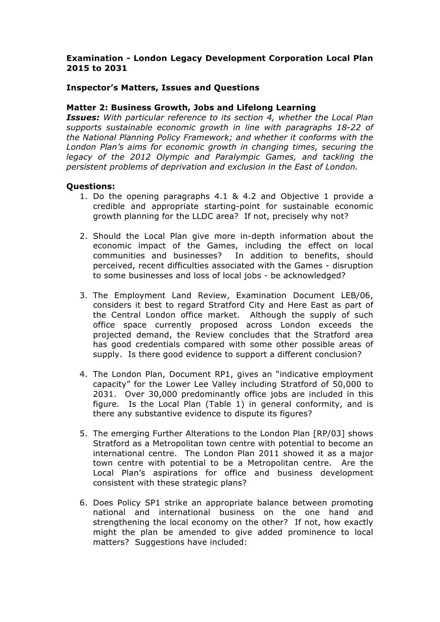## **Examination - London Legacy Development Corporation Local Plan 2015 to 2031**

### **Inspector's Matters, Issues and Questions**

### **Matter 2: Business Growth, Jobs and Lifelong Learning**

*Issues: With particular reference to its section 4, whether the Local Plan supports sustainable economic growth in line with paragraphs 18-22 of the National Planning Policy Framework; and whether it conforms with the London Plan's aims for economic growth in changing times, securing the legacy of the 2012 Olympic and Paralympic Games, and tackling the persistent problems of deprivation and exclusion in the East of London.*

#### **Questions:**

- 1. Do the opening paragraphs 4.1 & 4.2 and Objective 1 provide a credible and appropriate starting-point for sustainable economic growth planning for the LLDC area? If not, precisely why not?
- 2. Should the Local Plan give more in-depth information about the economic impact of the Games, including the effect on local communities and businesses? In addition to benefits, should perceived, recent difficulties associated with the Games - disruption to some businesses and loss of local jobs - be acknowledged?
- 3. The Employment Land Review, Examination Document LEB/06, considers it best to regard Stratford City and Here East as part of the Central London office market. Although the supply of such office space currently proposed across London exceeds the projected demand, the Review concludes that the Stratford area has good credentials compared with some other possible areas of supply. Is there good evidence to support a different conclusion?
- 4. The London Plan, Document RP1, gives an "indicative employment capacity" for the Lower Lee Valley including Stratford of 50,000 to 2031. Over 30,000 predominantly office jobs are included in this figure. Is the Local Plan (Table 1) in general conformity, and is there any substantive evidence to dispute its figures?
- 5. The emerging Further Alterations to the London Plan [RP/03] shows Stratford as a Metropolitan town centre with potential to become an international centre. The London Plan 2011 showed it as a major town centre with potential to be a Metropolitan centre. Are the Local Plan's aspirations for office and business development consistent with these strategic plans?
- 6. Does Policy SP1 strike an appropriate balance between promoting national and international business on the one hand and strengthening the local economy on the other? If not, how exactly might the plan be amended to give added prominence to local matters? Suggestions have included: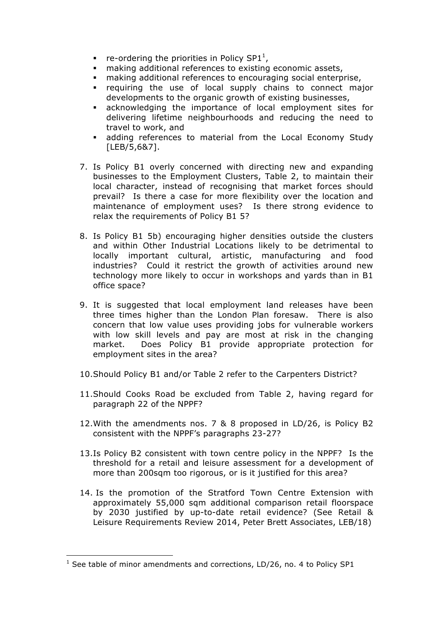- **•** re-ordering the priorities in Policy SP1<sup>1</sup>,
- making additional references to existing economic assets,
- making additional references to encouraging social enterprise,
- § requiring the use of local supply chains to connect major developments to the organic growth of existing businesses,
- acknowledging the importance of local employment sites for delivering lifetime neighbourhoods and reducing the need to travel to work, and
- adding references to material from the Local Economy Study [LEB/5,6&7].
- 7. Is Policy B1 overly concerned with directing new and expanding businesses to the Employment Clusters, Table 2, to maintain their local character, instead of recognising that market forces should prevail? Is there a case for more flexibility over the location and maintenance of employment uses? Is there strong evidence to relax the requirements of Policy B1 5?
- 8. Is Policy B1 5b) encouraging higher densities outside the clusters and within Other Industrial Locations likely to be detrimental to locally important cultural, artistic, manufacturing and food industries? Could it restrict the growth of activities around new technology more likely to occur in workshops and yards than in B1 office space?
- 9. It is suggested that local employment land releases have been three times higher than the London Plan foresaw. There is also concern that low value uses providing jobs for vulnerable workers with low skill levels and pay are most at risk in the changing market. Does Policy B1 provide appropriate protection for employment sites in the area?
- 10.Should Policy B1 and/or Table 2 refer to the Carpenters District?
- 11.Should Cooks Road be excluded from Table 2, having regard for paragraph 22 of the NPPF?
- 12.With the amendments nos. 7 & 8 proposed in LD/26, is Policy B2 consistent with the NPPF's paragraphs 23-27?
- 13.Is Policy B2 consistent with town centre policy in the NPPF? Is the threshold for a retail and leisure assessment for a development of more than 200sqm too rigorous, or is it justified for this area?
- 14. Is the promotion of the Stratford Town Centre Extension with approximately 55,000 sqm additional comparison retail floorspace by 2030 justified by up-to-date retail evidence? (See Retail & Leisure Requirements Review 2014, Peter Brett Associates, LEB/18)

j

 $1$  See table of minor amendments and corrections, LD/26, no. 4 to Policy SP1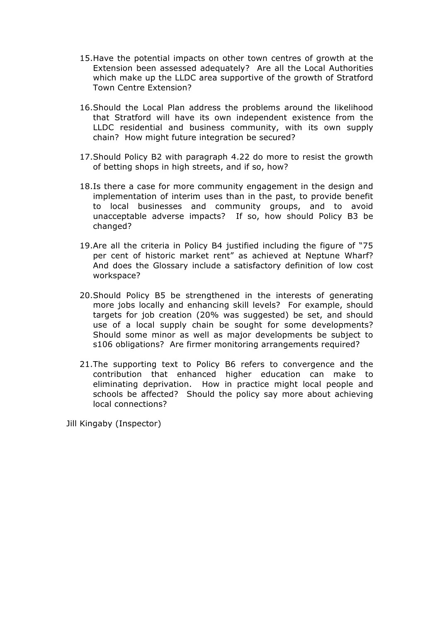- 15.Have the potential impacts on other town centres of growth at the Extension been assessed adequately? Are all the Local Authorities which make up the LLDC area supportive of the growth of Stratford Town Centre Extension?
- 16.Should the Local Plan address the problems around the likelihood that Stratford will have its own independent existence from the LLDC residential and business community, with its own supply chain? How might future integration be secured?
- 17.Should Policy B2 with paragraph 4.22 do more to resist the growth of betting shops in high streets, and if so, how?
- 18.Is there a case for more community engagement in the design and implementation of interim uses than in the past, to provide benefit to local businesses and community groups, and to avoid unacceptable adverse impacts? If so, how should Policy B3 be changed?
- 19.Are all the criteria in Policy B4 justified including the figure of "75 per cent of historic market rent" as achieved at Neptune Wharf? And does the Glossary include a satisfactory definition of low cost workspace?
- 20.Should Policy B5 be strengthened in the interests of generating more jobs locally and enhancing skill levels? For example, should targets for job creation (20% was suggested) be set, and should use of a local supply chain be sought for some developments? Should some minor as well as major developments be subject to s106 obligations? Are firmer monitoring arrangements required?
- 21.The supporting text to Policy B6 refers to convergence and the contribution that enhanced higher education can make to eliminating deprivation. How in practice might local people and schools be affected? Should the policy say more about achieving local connections?

Jill Kingaby (Inspector)